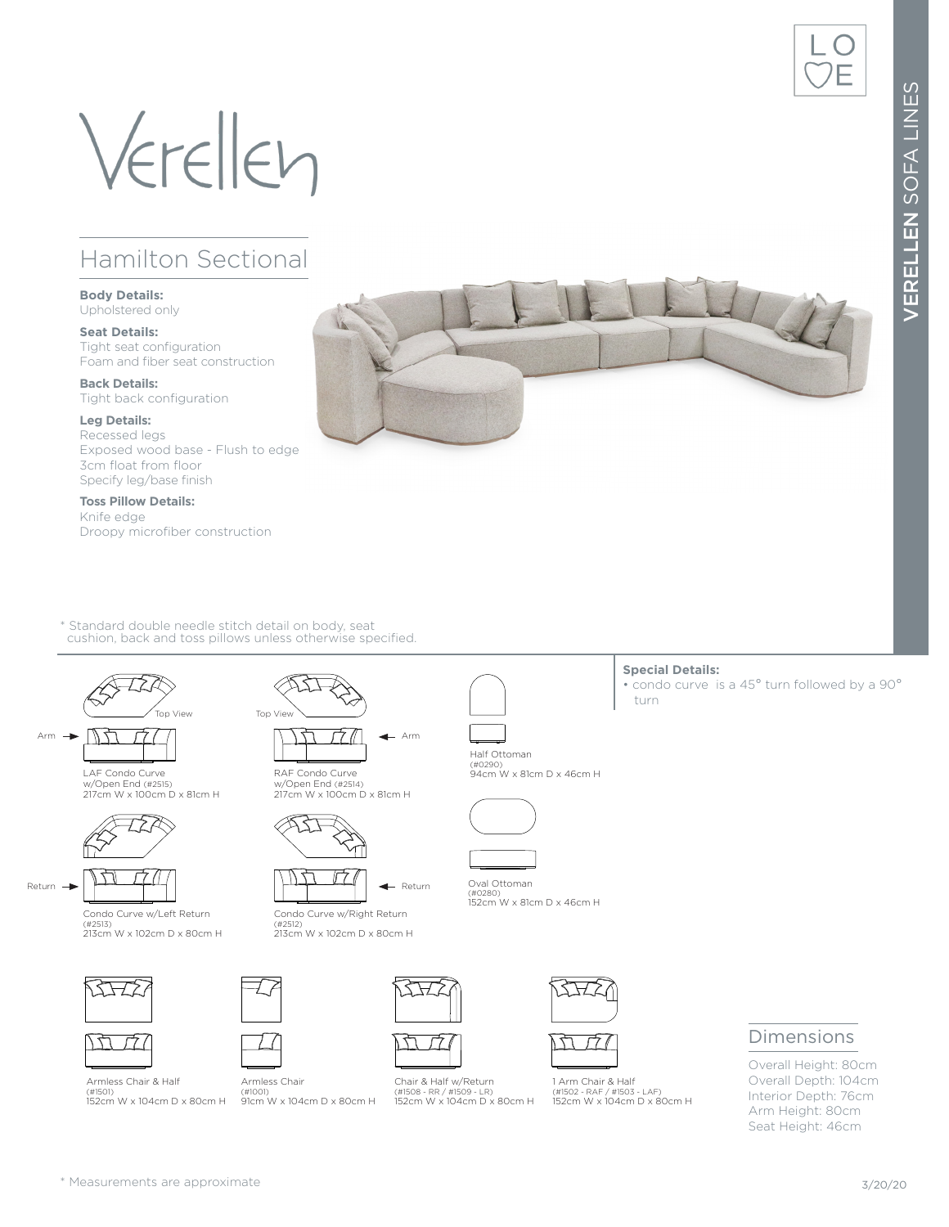# Verellen

## Hamilton Sectional

### **Body Details:**

Upholstered only

#### **Seat Details:** Tight seat configuration Foam and fiber seat construction

**Back Details:** Tight back configuration

#### **Leg Details:**

Recessed legs Exposed wood base - Flush to edge 3cm float from floor Specify leg/base finish

**Toss Pillow Details:** Knife edge Droopy microfiber construction

\* Standard double needle stitch detail on body, seat cushion, back and toss pillows unless otherwise specified.







Condo Curve w/Left Return (#2513) 213cm W x 102cm D x 80cm H







RAF Condo Curve w/Open End (#2514) 217cm W x 100cm D x 81cm H



Condo Curve w/Right Return

(#2512) 213cm W x 102cm D x 80cm H

Armless Chair

(#1001) 91cm W x 104cm D x 80cm H



Chair & Half w/Return (#1508 - RR / #1509 - LR) 152cm W x 104cm D x 80cm H



1 Arm Chair & Half (#1502 - RAF / #1503 - LAF) 152cm W x 104cm D x 80cm H

### Dimensions

Overall Height: 80cm Overall Depth: 104cm Interior Depth: 76cm Arm Height: 80cm Seat Height: 46cm



#### **Special Details:**

• condo curve is a 45° turn followed by a 90° turn







(#0280) 152cm W x 81cm D x 46cm H